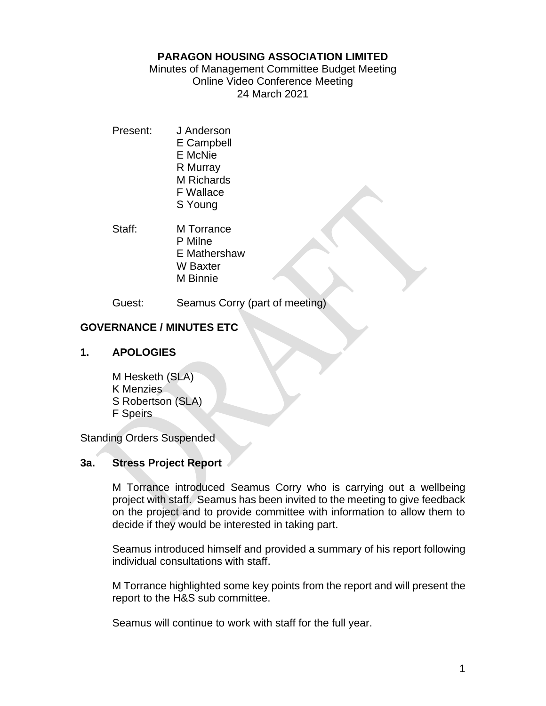### **PARAGON HOUSING ASSOCIATION LIMITED**

Minutes of Management Committee Budget Meeting Online Video Conference Meeting 24 March 2021

Present: J Anderson E Campbell E McNie R Murray M Richards F Wallace S Young

Staff: M Torrance

- P Milne
- E Mathershaw
- W Baxter
- M Binnie

Guest: Seamus Corry (part of meeting)

# **GOVERNANCE / MINUTES ETC**

## **1. APOLOGIES**

M Hesketh (SLA) K Menzies S Robertson (SLA) F Speirs

Standing Orders Suspended

## **3a. Stress Project Report**

M Torrance introduced Seamus Corry who is carrying out a wellbeing project with staff. Seamus has been invited to the meeting to give feedback on the project and to provide committee with information to allow them to decide if they would be interested in taking part.

Seamus introduced himself and provided a summary of his report following individual consultations with staff.

M Torrance highlighted some key points from the report and will present the report to the H&S sub committee.

Seamus will continue to work with staff for the full year.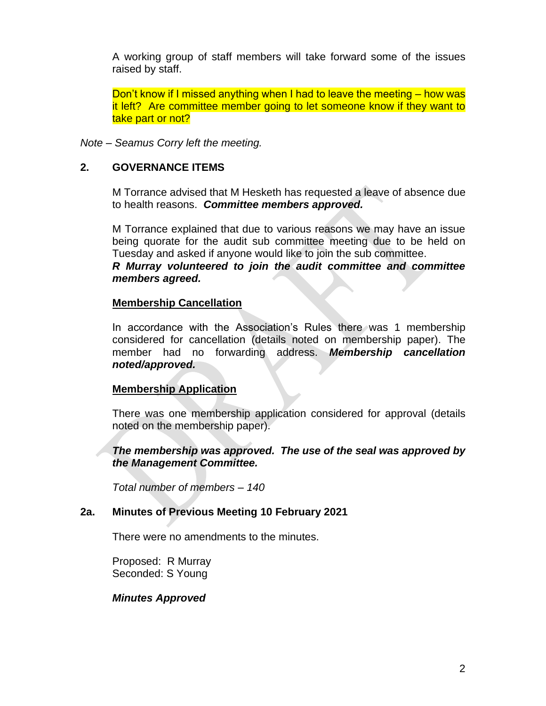A working group of staff members will take forward some of the issues raised by staff.

Don't know if I missed anything when I had to leave the meeting – how was it left? Are committee member going to let someone know if they want to take part or not?

*Note – Seamus Corry left the meeting.*

### **2. GOVERNANCE ITEMS**

M Torrance advised that M Hesketh has requested a leave of absence due to health reasons. *Committee members approved.*

M Torrance explained that due to various reasons we may have an issue being quorate for the audit sub committee meeting due to be held on Tuesday and asked if anyone would like to join the sub committee. *R Murray volunteered to join the audit committee and committee members agreed.*

#### **Membership Cancellation**

In accordance with the Association's Rules there was 1 membership considered for cancellation (details noted on membership paper). The member had no forwarding address. *Membership cancellation noted/approved.*

### **Membership Application**

There was one membership application considered for approval (details noted on the membership paper).

### *The membership was approved. The use of the seal was approved by the Management Committee.*

*Total number of members – 140*

### **2a. Minutes of Previous Meeting 10 February 2021**

There were no amendments to the minutes.

Proposed: R Murray Seconded: S Young

### *Minutes Approved*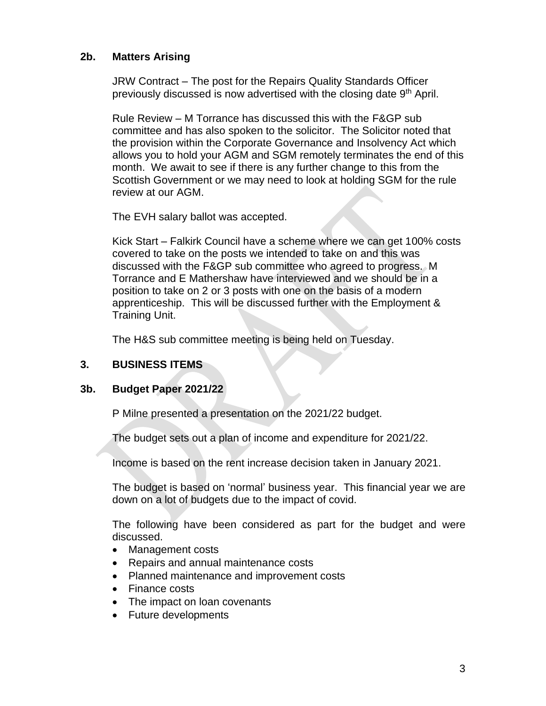### **2b. Matters Arising**

JRW Contract – The post for the Repairs Quality Standards Officer previously discussed is now advertised with the closing date 9<sup>th</sup> April.

Rule Review – M Torrance has discussed this with the F&GP sub committee and has also spoken to the solicitor. The Solicitor noted that the provision within the Corporate Governance and Insolvency Act which allows you to hold your AGM and SGM remotely terminates the end of this month. We await to see if there is any further change to this from the Scottish Government or we may need to look at holding SGM for the rule review at our AGM.

The EVH salary ballot was accepted.

Kick Start – Falkirk Council have a scheme where we can get 100% costs covered to take on the posts we intended to take on and this was discussed with the F&GP sub committee who agreed to progress. M Torrance and E Mathershaw have interviewed and we should be in a position to take on 2 or 3 posts with one on the basis of a modern apprenticeship. This will be discussed further with the Employment & Training Unit.

The H&S sub committee meeting is being held on Tuesday.

### **3. BUSINESS ITEMS**

### **3b. Budget Paper 2021/22**

P Milne presented a presentation on the 2021/22 budget.

The budget sets out a plan of income and expenditure for 2021/22.

Income is based on the rent increase decision taken in January 2021.

The budget is based on 'normal' business year. This financial year we are down on a lot of budgets due to the impact of covid.

The following have been considered as part for the budget and were discussed.

- Management costs
- Repairs and annual maintenance costs
- Planned maintenance and improvement costs
- Finance costs
- The impact on loan covenants
- Future developments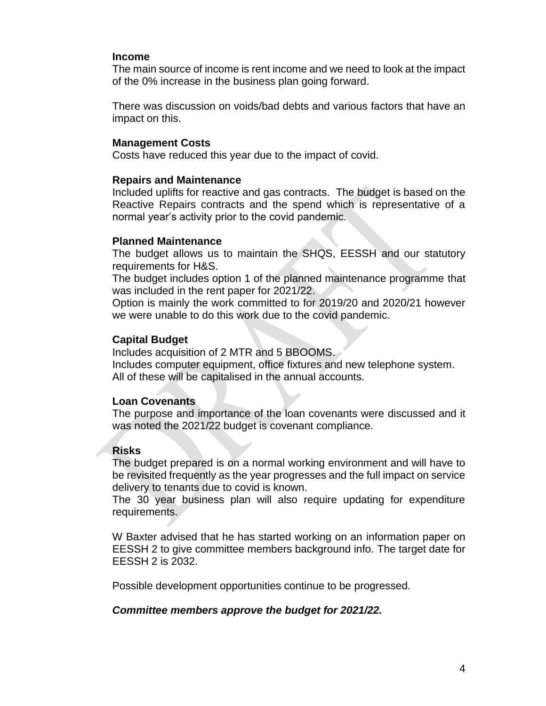#### **Income**

The main source of income is rent income and we need to look at the impact of the 0% increase in the business plan going forward.

There was discussion on voids/bad debts and various factors that have an impact on this.

#### **Management Costs**

Costs have reduced this year due to the impact of covid.

#### **Repairs and Maintenance**

Included uplifts for reactive and gas contracts. The budget is based on the Reactive Repairs contracts and the spend which is representative of a normal year's activity prior to the covid pandemic.

#### **Planned Maintenance**

The budget allows us to maintain the SHQS, EESSH and our statutory requirements for H&S.

The budget includes option 1 of the planned maintenance programme that was included in the rent paper for 2021/22.

Option is mainly the work committed to for 2019/20 and 2020/21 however we were unable to do this work due to the covid pandemic.

#### **Capital Budget**

Includes acquisition of 2 MTR and 5 BBOOMS.

Includes computer equipment, office fixtures and new telephone system. All of these will be capitalised in the annual accounts.

#### **Loan Covenants**

The purpose and importance of the loan covenants were discussed and it was noted the 2021/22 budget is covenant compliance.

#### **Risks**

The budget prepared is on a normal working environment and will have to be revisited frequently as the year progresses and the full impact on service delivery to tenants due to covid is known.

The 30 year business plan will also require updating for expenditure requirements.

W Baxter advised that he has started working on an information paper on EESSH 2 to give committee members background info. The target date for EESSH 2 is 2032.

Possible development opportunities continue to be progressed.

#### *Committee members approve the budget for 2021/22.*